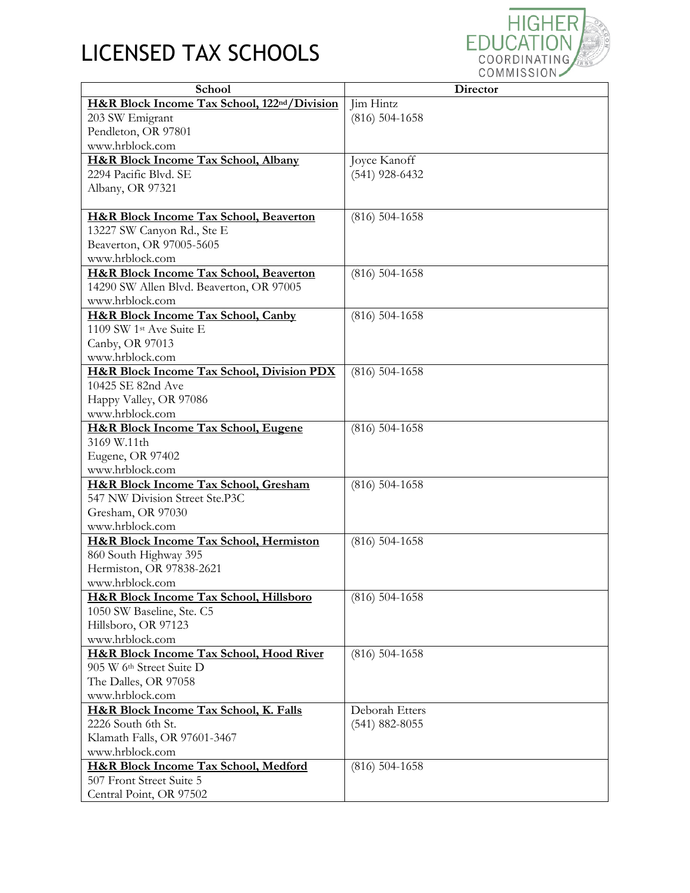## LICENSED TAX SCHOOLS



| School                                                   | <b>Director</b>    |
|----------------------------------------------------------|--------------------|
| H&R Block Income Tax School, 122 <sup>nd</sup> /Division | Jim Hintz          |
| 203 SW Emigrant                                          | $(816)$ 504-1658   |
| Pendleton, OR 97801                                      |                    |
| www.hrblock.com                                          |                    |
| H&R Block Income Tax School, Albany                      | Joyce Kanoff       |
| 2294 Pacific Blvd. SE                                    | $(541)$ 928-6432   |
| Albany, OR 97321                                         |                    |
|                                                          |                    |
| <b>H&amp;R Block Income Tax School, Beaverton</b>        | $(816)$ 504-1658   |
| 13227 SW Canyon Rd., Ste E                               |                    |
| Beaverton, OR 97005-5605                                 |                    |
| www.hrblock.com                                          |                    |
| <b>H&amp;R Block Income Tax School, Beaverton</b>        | $(816)$ 504-1658   |
| 14290 SW Allen Blvd. Beaverton, OR 97005                 |                    |
| www.hrblock.com                                          |                    |
| H&R Block Income Tax School, Canby                       | $(816)$ 504-1658   |
| 1109 SW 1st Ave Suite E                                  |                    |
| Canby, OR 97013                                          |                    |
| www.hrblock.com                                          |                    |
| <b>H&amp;R Block Income Tax School, Division PDX</b>     | $(816) 504 - 1658$ |
| 10425 SE 82nd Ave                                        |                    |
| Happy Valley, OR 97086                                   |                    |
| www.hrblock.com                                          |                    |
| H&R Block Income Tax School, Eugene                      | $(816) 504 - 1658$ |
| 3169 W.11th                                              |                    |
| Eugene, OR 97402                                         |                    |
| www.hrblock.com                                          |                    |
| H&R Block Income Tax School, Gresham                     | $(816)$ 504-1658   |
| 547 NW Division Street Ste.P3C                           |                    |
| Gresham, OR 97030                                        |                    |
| www.hrblock.com                                          |                    |
| H&R Block Income Tax School, Hermiston                   | $(816)$ 504-1658   |
| 860 South Highway 395                                    |                    |
| Hermiston, OR 97838-2621                                 |                    |
| www.hrblock.com                                          |                    |
| H&R Block Income Tax School, Hillsboro                   | $(816)$ 504-1658   |
| 1050 SW Baseline, Ste. C5                                |                    |
| Hillsboro, OR 97123                                      |                    |
| www.hrblock.com                                          |                    |
| <b>H&amp;R Block Income Tax School, Hood River</b>       | $(816)$ 504-1658   |
| 905 W 6th Street Suite D                                 |                    |
| The Dalles, OR 97058                                     |                    |
| www.hrblock.com                                          |                    |
| H&R Block Income Tax School, K. Falls                    | Deborah Etters     |
| 2226 South 6th St.                                       | $(541) 882 - 8055$ |
| Klamath Falls, OR 97601-3467                             |                    |
| www.hrblock.com                                          |                    |
| H&R Block Income Tax School, Medford                     | $(816) 504 - 1658$ |
| 507 Front Street Suite 5                                 |                    |
| Central Point, OR 97502                                  |                    |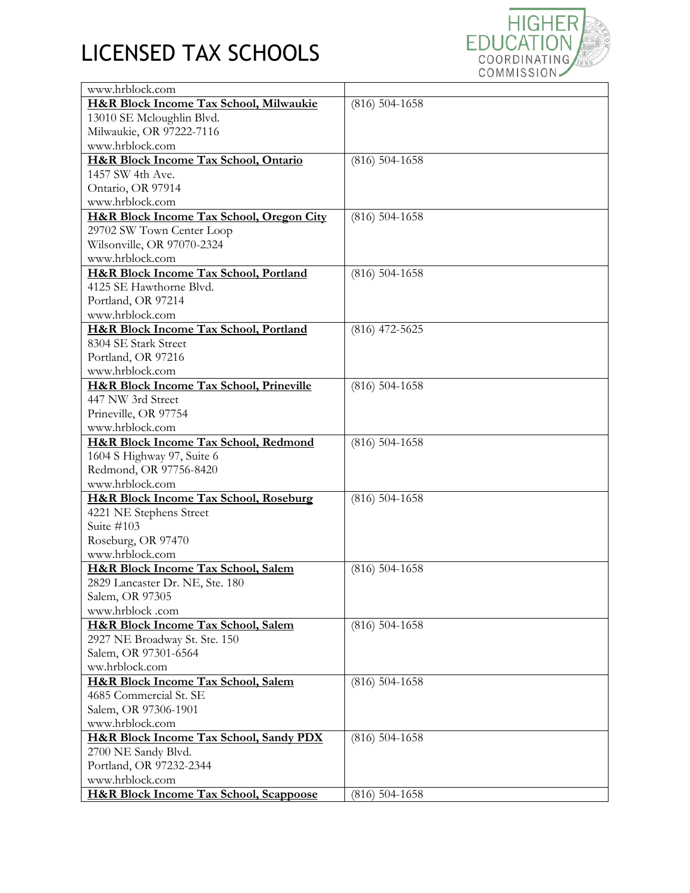## LICENSED TAX SCHOOLS



| www.hrblock.com                                     |                    |
|-----------------------------------------------------|--------------------|
| H&R Block Income Tax School, Milwaukie              | $(816)$ 504-1658   |
| 13010 SE Mcloughlin Blvd.                           |                    |
| Milwaukie, OR 97222-7116                            |                    |
| www.hrblock.com                                     |                    |
| H&R Block Income Tax School, Ontario                | $(816)$ 504-1658   |
| 1457 SW 4th Ave.                                    |                    |
| Ontario, OR 97914                                   |                    |
| www.hrblock.com                                     |                    |
| <b>H&amp;R Block Income Tax School, Oregon City</b> | $(816)$ 504-1658   |
| 29702 SW Town Center Loop                           |                    |
| Wilsonville, OR 97070-2324                          |                    |
| www.hrblock.com                                     |                    |
| H&R Block Income Tax School, Portland               | $(816)$ 504-1658   |
| 4125 SE Hawthorne Blvd.                             |                    |
| Portland, OR 97214                                  |                    |
| www.hrblock.com                                     |                    |
| H&R Block Income Tax School, Portland               | $(816)$ 472-5625   |
| 8304 SE Stark Street                                |                    |
| Portland, OR 97216                                  |                    |
| www.hrblock.com                                     |                    |
| <b>H&amp;R Block Income Tax School, Prineville</b>  | $(816)$ 504-1658   |
| 447 NW 3rd Street                                   |                    |
| Prineville, OR 97754                                |                    |
| www.hrblock.com                                     |                    |
| H&R Block Income Tax School, Redmond                | $(816)$ 504-1658   |
| 1604 S Highway 97, Suite 6                          |                    |
| Redmond, OR 97756-8420                              |                    |
| www.hrblock.com                                     |                    |
| <b>H&amp;R Block Income Tax School, Roseburg</b>    | $(816)$ 504-1658   |
| 4221 NE Stephens Street                             |                    |
| Suite #103                                          |                    |
| Roseburg, OR 97470                                  |                    |
| www.hrblock.com                                     |                    |
| H&R Block Income Tax School, Salem                  | $(816)$ 504-1658   |
| 2829 Lancaster Dr. NE, Ste. 180                     |                    |
| Salem, OR 97305                                     |                    |
| www.hrblock.com                                     |                    |
| H&R Block Income Tax School, Salem                  | $(816) 504 - 1658$ |
| 2927 NE Broadway St. Ste. 150                       |                    |
| Salem, OR 97301-6564                                |                    |
| ww.hrblock.com                                      |                    |
| H&R Block Income Tax School, Salem                  | $(816)$ 504-1658   |
| 4685 Commercial St. SE                              |                    |
| Salem, OR 97306-1901                                |                    |
| www.hrblock.com                                     |                    |
| <b>H&amp;R Block Income Tax School, Sandy PDX</b>   | $(816)$ 504-1658   |
| 2700 NE Sandy Blvd.                                 |                    |
| Portland, OR 97232-2344                             |                    |
| www.hrblock.com                                     |                    |
| <b>H&amp;R Block Income Tax School, Scappoose</b>   | $(816)$ 504-1658   |